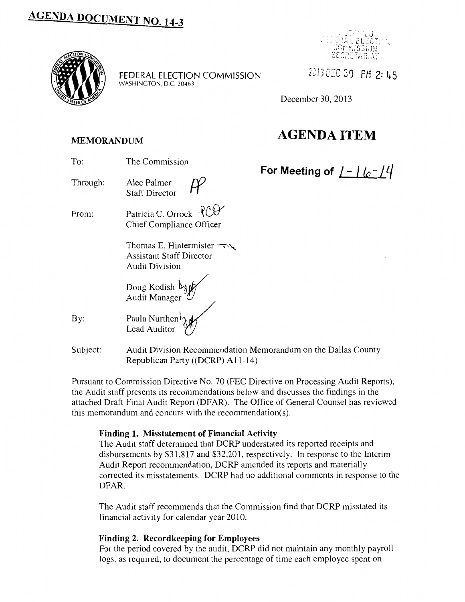

FEDERAL ELECTION COMMISSION *2C./3* c:c 3Q *PH* 2: **45**  WASHINGTON, D.C. 20463



December 30, 2013

# **MEMORANDUM AGENDA ITEM**

## **For Meeting of** /- I *{p- <sup>1</sup>'-/*

- To: The Commission
- Through: Alec Palmer Staff Director
- From: Patricia C. Orrock  $POY$ Chief Compliance Officer
	- Thomas E. Hintermister  $\rightarrow \rightarrow$ Assistant Staff Director Audit Division
	- Doug Kodish  $\n *b*$   $\n *b*$ Audit Manager  $\mathscr{Y}$
- By:
- Paula Nurthen<sup>k</sup> Lead Auditor
- Subject: Audit Division Recommendation Memorandum on the Dallas County Republican Party ((DCRP) A11-14)

Pursuant to Commission Directive No. 70 (FEC Directive on Processing Audit Reports), the Audit staff presents its recommendations below and discusses the findings in the attached Draft Final Audit Report (DFAR). The Office of General Counsel has reviewed this memorandum and concurs with the recommendation(s).

### **Finding 1. Misstatement of Financial Activity**

The Audit staff determined that DCRP understated its reported receipts and disbursements by \$31,817 and \$32,201, respectively. In response to the Interim Audit Report recommendation, DCRP amended its reports and materially corrected its misstatements. DCRP had no additional comments in response to the DFAR.

The Audit staff recommends that the Commission find that DCRP misstated its financial activity for calendar year 2010.

### **Finding 2. Recordkeeping for Employees**

For the period covered by the audit, DCRP did not maintain any monthly payroll logs, as required, to document the percentage of time each employee spent on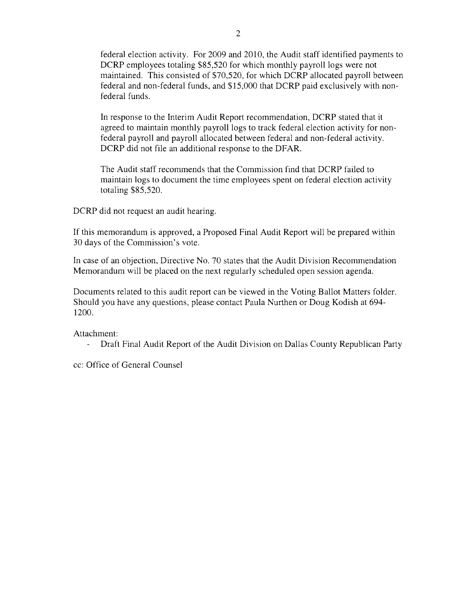federal election activity. For 2009 and 2010, the Audit staff identified payments to DCRP employees totaling \$85,520 for which monthly payroll logs were not maintained. This consisted of \$70,520, for which DCRP allocated payroll between federal and non-federal funds, and \$15,000 that DCRP paid exclusively with nonfederal funds.

In response to the Interim Audit Report recommendation, DCRP stated that it agreed to maintain monthly payroll logs to track federal election activity for nonfederal payroll and payroll allocated between federal and non-federal activity. DCRP did not file an additional response to the DFAR.

The Audit staff recommends that the Commission find that DCRP failed to maintain logs to document the time employees spent on federal election activity totaling \$85,520.

DCRP did not request an audit hearing.

If this memorandum is approved, a Proposed Final Audit Report will be prepared within 30 days of the Commission's vote.

In case of an objection, Directive No. 70 states that the Audit Division Recommendation Memorandum will be placed on the next regularly scheduled open session agenda.

Documents related to this audit report can be viewed in the Voting Ballot Matters folder. Should you have any questions, please contact Paula Nurthen or Doug Kadish at 694- 1200.

Attachment:

Draft Final Audit Report of the Audit Division on Dallas County Republican Party  $\mathbb{L}^{\mathbb{N}}$ 

cc: Office of General Counsel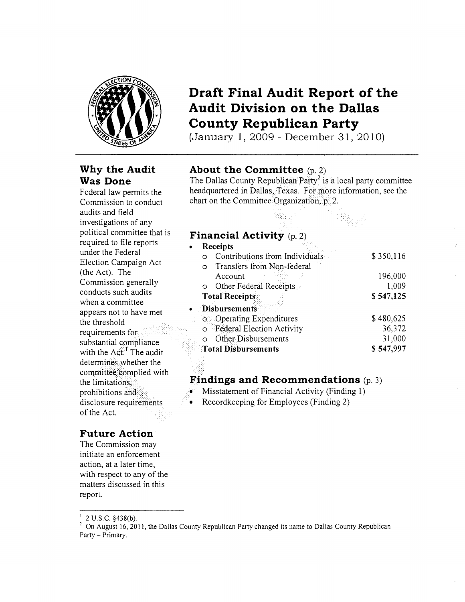

### **Why the Audit Was Done**

Federal law permits the Commission to conduct audits and field investigations of any political committee that is required to file reports under the Federal Election Campaign Act (the Act). The Commission generally conducts such audits when a committee appears not to have met the threshold requirements for substantial compliance with the  $Act<sup>1</sup>$ . The audit determines whether the committee complied with the limitations; prohibitions and disclosure requirements of the Act.

### **Draft Final Audit Report of the Audit Division on the Dallas County Republican Party**

(January **1,** 2009- December 31, 2010)

### **About the Committee** (p. 2)

The Dallas County Republican Party<sup>2</sup> is a local party committee headquartered in Dallas, Texas. For more information, see the chart on the Committee Organization, p. 2.

### **Financial Activity** (p. 2)

| Receipts                              |           |
|---------------------------------------|-----------|
| Contributions from Individuals        | \$350,116 |
| Transfers from Non-federal<br>O       |           |
| Account                               | 196,000   |
| Other Federal Receipts<br>$\circ$     | 1,009     |
| <b>Total Receipts</b>                 | \$547,125 |
| <b>Disbursements</b>                  |           |
| <b>O</b> Operating Expenditures       | \$480,625 |
| Federal Election Activity<br>$\circ$  | 36,372    |
| <b>Other Disbursements</b><br>$\circ$ | 31,000    |
| <b>Total Disbursements</b>            | \$547,997 |
|                                       |           |

### **Findings and Recommendations**  $(p, 3)$

Misstatement of Financial Activity (Finding 1)

• Recordkeeping for Employees (Finding 2)

### **Future Action**

The Commission may initiate an enforcement action, at a later time, with respect to any of the matters discussed in this report.

 $12$  U.S.C. §438(b).

 $2$  On August 16, 2011, the Dallas County Republican Party changed its name to Dallas County Republican Party - Primary.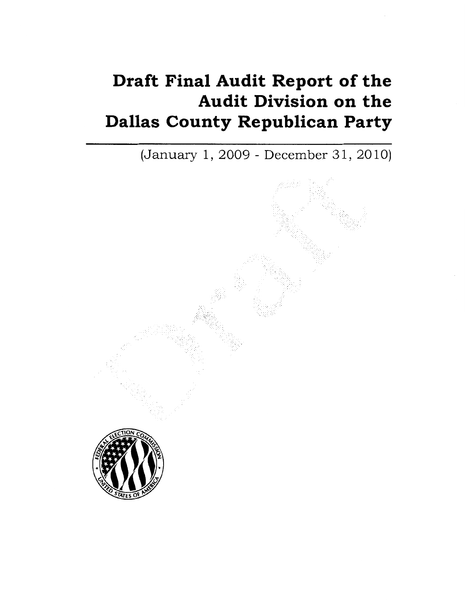# **Draft Final Audit Report of the Audit Division on the Dallas County Republican Party**

(January 1, 2009 - December 31, 2010)

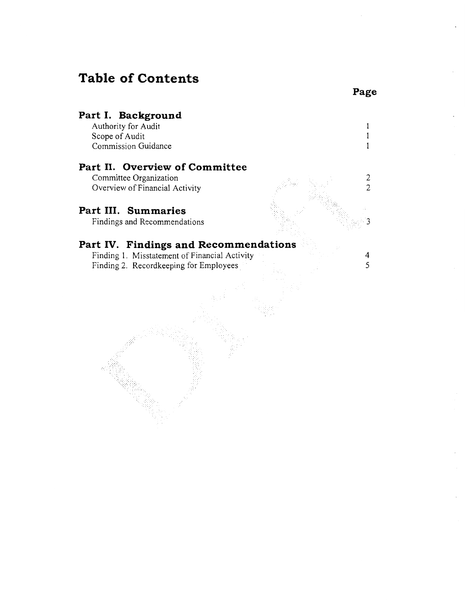### **Table of Contents**

### **Part I. Background**

Authority for Audit Scope of Audit Commission Guidance

### **Part II. Overview of Committee**

Committee Organization Overview of Financial Activity

### **Part III. Summaries**

Findings and Recommendations

### **Part IV. Findings and Recommendations**

Finding I. Misstatement of Financial Activity Finding 2. Recordkeeping for Employees

**Page** 

 $\mathbf{I}$  $\mathbf{I}$  $\mathbf{I}$ 

2 2

3

4 5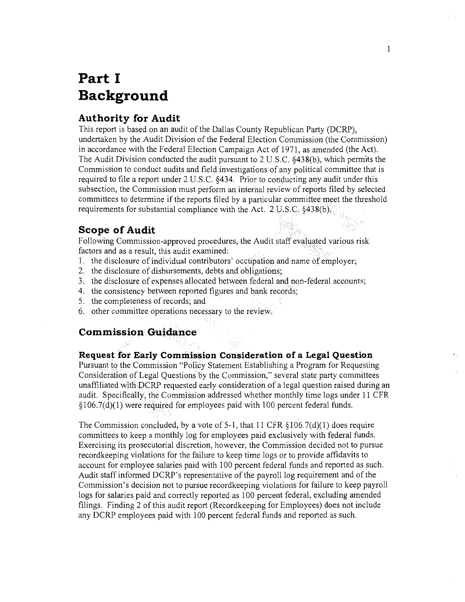# **Part I Background**

### **Authority for Audit**

This report is based on an audit of the Dallas County Republican Party (DCRP), undertaken by the Audit Division of the Federal Election Commission (the Commission) in accordance with the Federal Election Campaign Act of 1971, as amended (the Act). The Audit Division conducted the audit pursuant to 2 U.S.C. §438(b), which permits the Commission to conduct audits and field investigations of any political committee that is required to file a report under 2 U.S.C. §434. Prior to conducting any audit under this subsection, the Commission must perform an internal review of reports filed by selected committees to determine if the reports filed by a particular committee meet the threshold requirements for substantial compliance with the Act.  $2 \text{U.S.C. } §438(b)$ .

### **Scope of Audit**

Following Commission-approved procedures, the Audit staff evaluated various risk factors and as a result, this audit examined:

- 1. the disclosure of individual contributors' occupation and name of employer;
- 2. the disclosure of disbursements, debts and obligations;
- 3. the disclosure of expenses allocated between federal and non-federal accounts;
- 4. the consistency between reported figures and bank records;
- 5. the completeness of records; and
- 6. other committee operations necessary to the review;

### **Commission Guidance**

### **Request for Early Commission Consideration of a Legal Question**

Pursuant to the Commission "Policy Statement Establishing a Program for Requesting Consideration of Legal Questions by the Commission," several state party committees unaffiliated with DCRP requested early consideration of a legal question raised during an audit. Specifically, the Commission addressed whether monthly time logs under 11 CFR  $\S106.7(d)(1)$  were required for employees paid with 100 percent federal funds.

The Commission concluded, by a vote of 5-1, that 11 CFR  $\S 106.7(d)(1)$  does require committees to keep a monthly log for employees paid exclusively with federal funds. Exercising its prosecutorial discretion, however, the Commission decided not to pursue recordkeeping violations for the failure to keep time logs or to provide affidavits to account for employee salaries paid with 100 percent federal funds and reported as such. Audit staff informed DCRP's representative of the payroll log requirement and of the Commission's decision not to pursue recordkeeping violations for failure to keep payroll logs for salaries paid and correctly reported as 100 percent federal, excluding amended filings. Finding 2 of this audit report (Recordkeeping for Employees) does not include any DCRP employees paid with 100 percent federal funds and reported as such.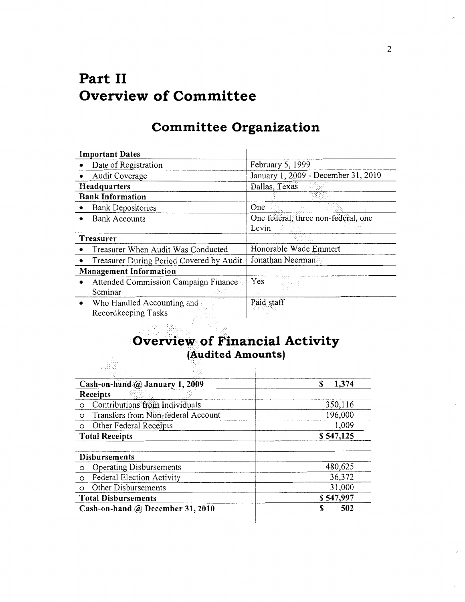# **Part II Overview of Committee**

### **Committee Organization**

| <b>Important Dates</b>                    |                                     |
|-------------------------------------------|-------------------------------------|
| Date of Registration                      | February 5, 1999                    |
| Audit Coverage                            | January 1, 2009 Becember 31, 2010   |
| Headquarters                              | Dallas, Texas                       |
| <b>Bank Information</b>                   |                                     |
| <b>Bank Depositories</b>                  | One                                 |
| <b>Bank Accounts</b>                      | One federal, three non-federal, one |
|                                           | Levin                               |
| Treasurer                                 |                                     |
| Treasurer When Audit Was Conducted        | Honorable Wade Emmert               |
| Treasurer During Period Covered by Audit. | Jonathan Neerman                    |
| <b>Management Information</b>             |                                     |
| Attended Commission Campaign Finance      | Yes                                 |
| Seminar                                   |                                     |
| Who Handled Accounting and                | Paid staff                          |
| Recordkeeping Tasks                       |                                     |

### **Overview of Financial Activity (Audited Amounts)**

| Cash-on-hand @ January 1, 2009                | 1,374<br>S |
|-----------------------------------------------|------------|
| Receipts                                      |            |
| Contributions from Individuals<br>$\circ$     | 350,116    |
| Transfers from Non-federal Account<br>$\circ$ | 196,000    |
| Other Federal Receipts<br>$\circ$             | 1,009      |
| <b>Total Receipts</b>                         | \$547,125  |
|                                               |            |
| <b>Disbursements</b>                          |            |
| Operating Disbursements<br>$\circ$            | 480,625    |
| Federal Election Activity<br>$\circ$          | 36,372     |
| Other Disbursements<br>$\circ$                | 31,000     |
| <b>Total Disbursements</b>                    | \$547,997  |
| Cash-on-hand @ December 31, 2010              | 502<br>S   |

2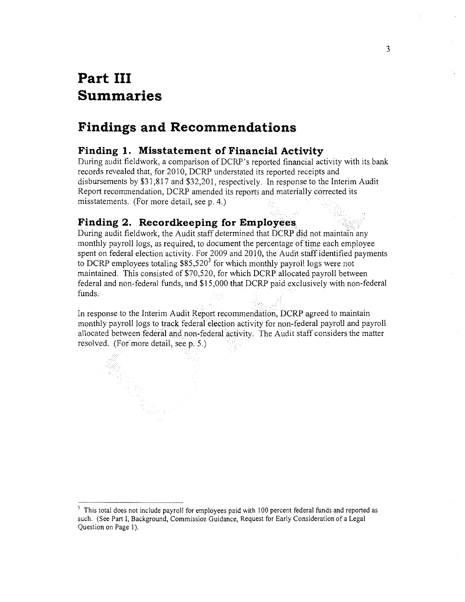## **Part III Summaries**

### **Findings and Recommendations**

### **Finding 1. Misstatement of Financial Activity**

During audit fieldwork, a comparison of DCRP 's reported financial activity with its bank records revealed that, for 2010, DCRP understated its reported receipts and disbursements by \$31,817 and \$32,201, respectively. In response to the Interim Audit Report recommendation, DCRP amended its reports and materially corrected its misstatements. (For more detail, see p. 4.)

### Finding 2. Recordkeeping for Employees

During audit fieldwork, the Audit staff determined that DCRP did not maintain any monthly payroll logs, as required, to document the percentage of time each employee spent on federal election activity. For 2009 and 2010, the Audit staff identified payments to DCRP employees totaling  $$85,520^3$  for which monthly payroll logs were not maintained. This consisted of \$70,520, for which DCRP allocated payroll between federal and non-federal funds, and \$15,000 that DCRP paid exclusively with non-federal funds.

In response to the Interim Audit Report recommendation, DCRP agreed to maintain monthly payroll logs to track federal election activity for non-federal payroll and payroll allocated between federal and non-federal activity. The Audit staff considers the matter resolved. (For more detail, see p. 5.)

<sup>&</sup>lt;sup>3</sup> This total does not include payroll for employees paid with 100 percent federal funds and reported as such. (See Part I, Background, Commission Guidance, Request for Early Consideration of a Legal Question on Page 1).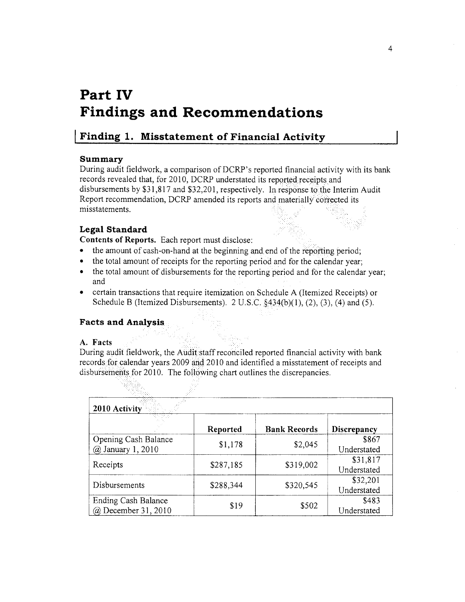# **Part IV Findings and Recommendations**

### **I Finding 1. Misstatement of Financial Activity**

### **Summary**

During audit fieldwork, a comparison of DCRP's reported financial activity with its bank records revealed that, for 2010, DCRP understated its reported receipts and disbursements by \$31,817 and \$32,201, respectively. In response to the Interim Audit Report recommendation, DCRP amended its reports and materially' corrected its misstatements.

### **Legal Standard**

Contents of Reports. Each report must disclose:

- the amount of cash-on-hand at the beginning and end of the reporting period;
- the total amount of receipts for the reporting period and for the calendar year;
- the total amount of disbursements for the reporting period and for the calendar year; and
- certain transactions that require itemization on Schedule A (Itemized Receipts) or Schedule B (Itemized Disbursements). 2 U.S.C.  $\S$ 434(b)(1), (2), (3), (4) and (5).

### **Facts and Analysis**

### **A. Facts**

During audit fieldwork, the Audit staff reconciled reported financial activity with bank records for calendar years 2009 and 2010 and identified a misstatement of receipts and disbursements for 2010. The following chart outlines the discrepancies.

| 2010 Activity                              |           |                     |                         |  |
|--------------------------------------------|-----------|---------------------|-------------------------|--|
|                                            | Reported  | <b>Bank Records</b> | Discrepancy             |  |
| Opening Cash Balance<br>@ January 1, 2010  | \$1,178   | \$2,045             | \$867<br>Understated    |  |
| Receipts                                   | \$287,185 | \$319,002           | \$31,817<br>Understated |  |
| Disbursements                              | \$288,344 | \$320,545           | \$32,201<br>Understated |  |
| Ending Cash Balance<br>@ December 31, 2010 | \$19      | \$502               | \$483<br>Understated    |  |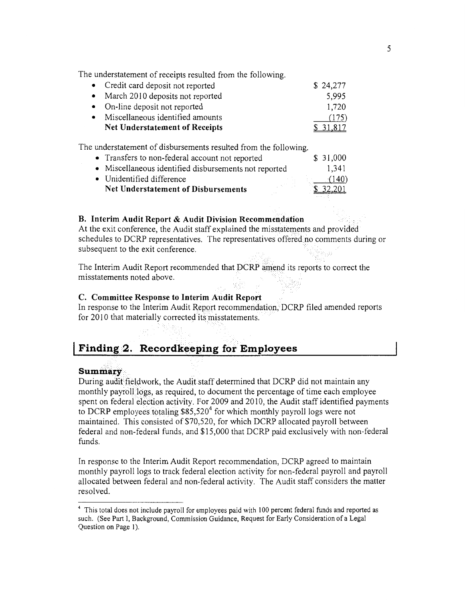The understatement of receipts resulted from the following.

| • Credit card deposit not reported    | \$24,277  |
|---------------------------------------|-----------|
| • March 2010 deposits not reported    | 5,995     |
| • On-line deposit not reported        | 1,720     |
| • Miscellaneous identified amounts    | (175)     |
| <b>Net Understatement of Receipts</b> | \$ 31,817 |

The understatement of disbursements resulted from the following.

| • Transfers to non-federal account not reported       | \$31,000 |
|-------------------------------------------------------|----------|
| • Miscellaneous identified disbursements not reported | 1,341    |
| • Unidentified difference                             | (140)    |
| <b>Net Understatement of Disbursements</b>            | \$32,201 |

### **B.** Interim Audit Report & Audit Division Recommendation

At the exit conference, the Audit staff explained the misstatements and provided schedules to DCRP representatives. The representatives offered.no comments during or subsequent to the exit conference.

The Interim Audit Report recommended that DCRP amend its reports to correct the misstatements noted above.

### **C. Committee Response to Interim Audit Report**

In response to the Interim Audit Report recommendation; DCRP filed amended reports for 2010 that materially corrected its misstatements.

### **I Finding 2. Recordkeeping for Employees**

### Summary

During audit fieldwork, the Audit staff determined that DCRP did not maintain any monthly payroll logs, as required, to document the percentage of time each employee spent on federal election activity. For 2009 and 2010, the Audit staff identified payments to DCRP employees totaling  $$85,520^4$  for which monthly payroll logs were not maintained. This consisted of \$70,520, for which DCRP allocated payroll between federal and non-federal funds, and \$15,000 that DCRP paid exclusively with non-federal funds.

In response to the Interim Audit Report recommendation, DCRP agreed to maintain monthly payroll logs to track federal election activity for non-federal payroll and payroll allocated between federal and non-federal activity. The Audit staff considers the matter resolved.

<sup>4</sup> This total does not include payroll for employees paid with 100 percent federal funds and reported as such. (See Part I, Background, Commission Guidance, Request for Early Consideration of a Legal Question on Page 1).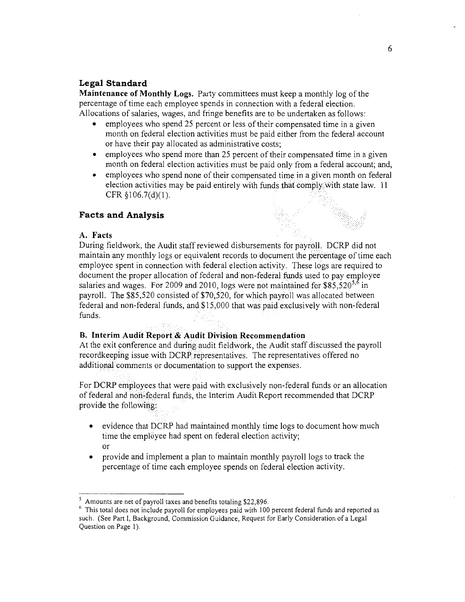### **Legal Standard**

Maintenance of Monthly Logs. Party committees must keep a monthly log of the percentage of time each employee spends in connection with a federal election. Allocations of salaries, wages, and fringe benefits are to be undertaken as follows:

- employees who spend 25 percent or less of their compensated time in a given month on federal election activities must be paid either from the federal account or have their pay allocated as administrative costs;
- employees who spend more than 25 percent of their compensated time in a given month on federal election activities must be paid only from a federal account; and,
- employees who spend none of their compensated time in a given month on federal election activities may be paid entirely with funds that comply with state law.  $11$ CFR §I06.7(d)(l).

### **Facts and Analysis**

### **A. Facts**

During fieldwork, the Audit staff reviewed disbursements for payroll. DCRP did not maintain any monthly logs or equivalent records to document the percentage of time each employee spent in connection with federal election activity. These Jogs are required to document the proper allocation of federal and non-federal funds used to pay employee salaries and wages. For 2009 and 2010, logs were not maintained for  $$85,520^{5,6}$  in payroll. The \$85,520 consisted of \$70,520, for which payroll was allocated between federal and non-federal funds, and \$15,000 that was paid exclusively with non-federal funds.

#### **B. Interim Audit Report&Audit Division Recommendation**

in s

At the exit conference and during audit fieldwork, the Audit staff discussed the payroll recordkeeping issue with DCRP representatives. The representatives offered no additional comments or documentation to support the expenses.

For DCRP employees that were paid with exclusively non-federal funds or an allocation of federal and non-federal funds, the Interim Audit Report recommended that DCRP provide the following:

- evidence that DCRP had maintained monthly time logs to document how much time the employee had spent on federal election activity; or
- provide and implement a plan to maintain monthly payroll logs to track the percentage of time each employee spends on federal election activity.

<sup>&</sup>lt;sup>5</sup> Amounts are net of payroll taxes and benefits totaling \$22,896.<br><sup>6</sup> This total does not include payroll for employees paid with 100 percent federal funds and reported as such. (See Part I, Background, Commission Guidance, Request for Early Consideration of a Legal Question on Page I).